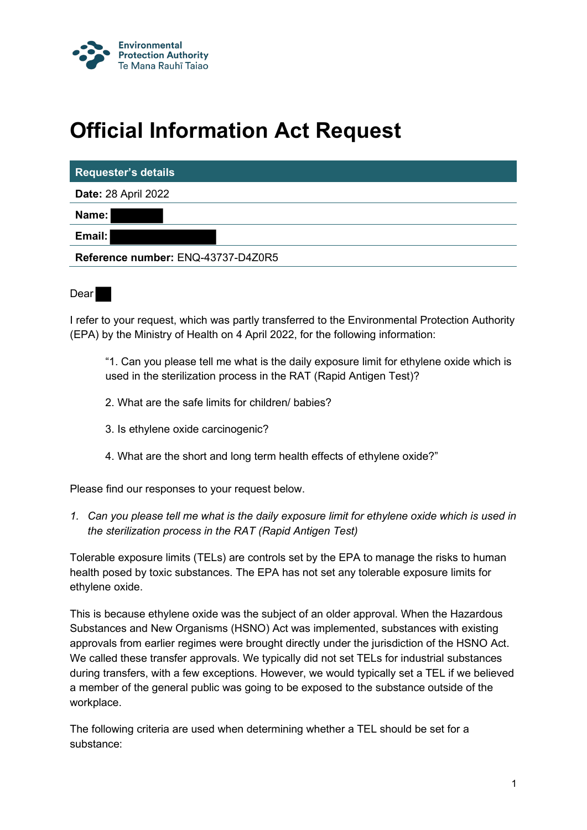

# **Official Information Act Request**

| <b>Requester's details</b>         |
|------------------------------------|
| <b>Date: 28 April 2022</b>         |
| Name:                              |
| Email:                             |
| Reference number: ENQ-43737-D4Z0R5 |
|                                    |

Dear

I refer to your request, which was partly transferred to the Environmental Protection Authority (EPA) by the Ministry of Health on 4 April 2022, for the following information:

"1. Can you please tell me what is the daily exposure limit for ethylene oxide which is used in the sterilization process in the RAT (Rapid Antigen Test)?

- 2. What are the safe limits for children/ babies?
- 3. Is ethylene oxide carcinogenic?
- 4. What are the short and long term health effects of ethylene oxide?"

Please find our responses to your request below.

*1. Can you please tell me what is the daily exposure limit for ethylene oxide which is used in the sterilization process in the RAT (Rapid Antigen Test)*

Tolerable exposure limits (TELs) are controls set by the EPA to manage the risks to human health posed by toxic substances. The EPA has not set any tolerable exposure limits for ethylene oxide.

This is because ethylene oxide was the subject of an older approval. When the Hazardous Substances and New Organisms (HSNO) Act was implemented, substances with existing approvals from earlier regimes were brought directly under the jurisdiction of the HSNO Act. We called these transfer approvals. We typically did not set TELs for industrial substances during transfers, with a few exceptions. However, we would typically set a TEL if we believed a member of the general public was going to be exposed to the substance outside of the workplace.

The following criteria are used when determining whether a TEL should be set for a substance: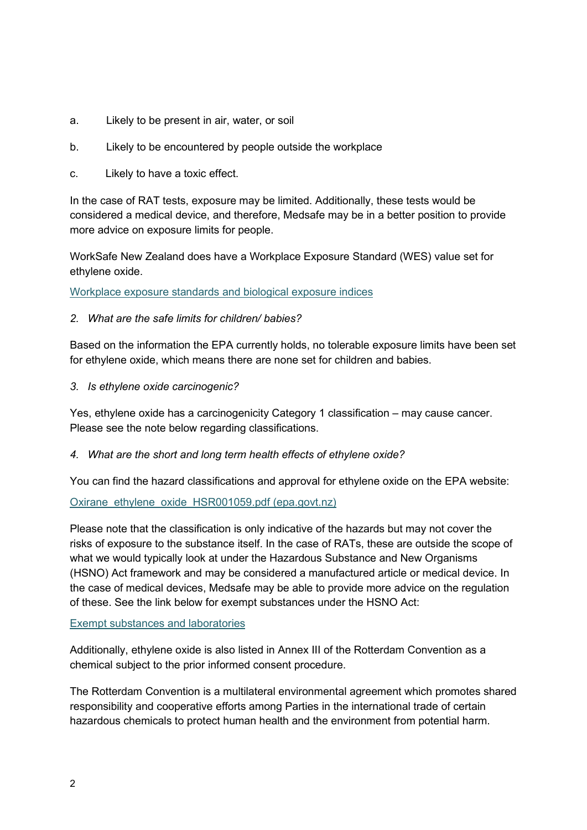- a. Likely to be present in air, water, or soil
- b. Likely to be encountered by people outside the workplace
- c. Likely to have a toxic effect.

In the case of RAT tests, exposure may be limited. Additionally, these tests would be considered a medical device, and therefore, Medsafe may be in a better position to provide more advice on exposure limits for people.

WorkSafe New Zealand does have a Workplace Exposure Standard (WES) value set for ethylene oxide.

[Workplace exposure standards and biological exposure indices](https://www.worksafe.govt.nz/topic-and-industry/monitoring/exposure-standards-and-biological-exposure-indices/)

### *2. What are the safe limits for children/ babies?*

Based on the information the EPA currently holds, no tolerable exposure limits have been set for ethylene oxide, which means there are none set for children and babies.

*3. Is ethylene oxide carcinogenic?*

Yes, ethylene oxide has a carcinogenicity Category 1 classification – may cause cancer. Please see the note below regarding classifications.

#### *4. What are the short and long term health effects of ethylene oxide?*

You can find the hazard classifications and approval for ethylene oxide on the EPA website:

## [Oxirane\\_ethylene\\_oxide\\_HSR001059.pdf \(epa.govt.nz\)](https://www.epa.govt.nz/assets/RecordsAPI/Oxirane_ethylene_oxide_HSR001059.pdf)

Please note that the classification is only indicative of the hazards but may not cover the risks of exposure to the substance itself. In the case of RATs, these are outside the scope of what we would typically look at under the Hazardous Substance and New Organisms (HSNO) Act framework and may be considered a manufactured article or medical device. In the case of medical devices, Medsafe may be able to provide more advice on the regulation of these. See the link below for exempt substances under the HSNO Act:

#### [Exempt substances and laboratories](https://www.epa.govt.nz/industry-areas/hazardous-substances/rules-for-hazardous-substances/exempt-substances-and-laboratories/)

Additionally, ethylene oxide is also listed in Annex III of the Rotterdam Convention as a chemical subject to the prior informed consent procedure.

The Rotterdam Convention is a multilateral environmental agreement which promotes shared responsibility and cooperative efforts among Parties in the international trade of certain hazardous chemicals to protect human health and the environment from potential harm.